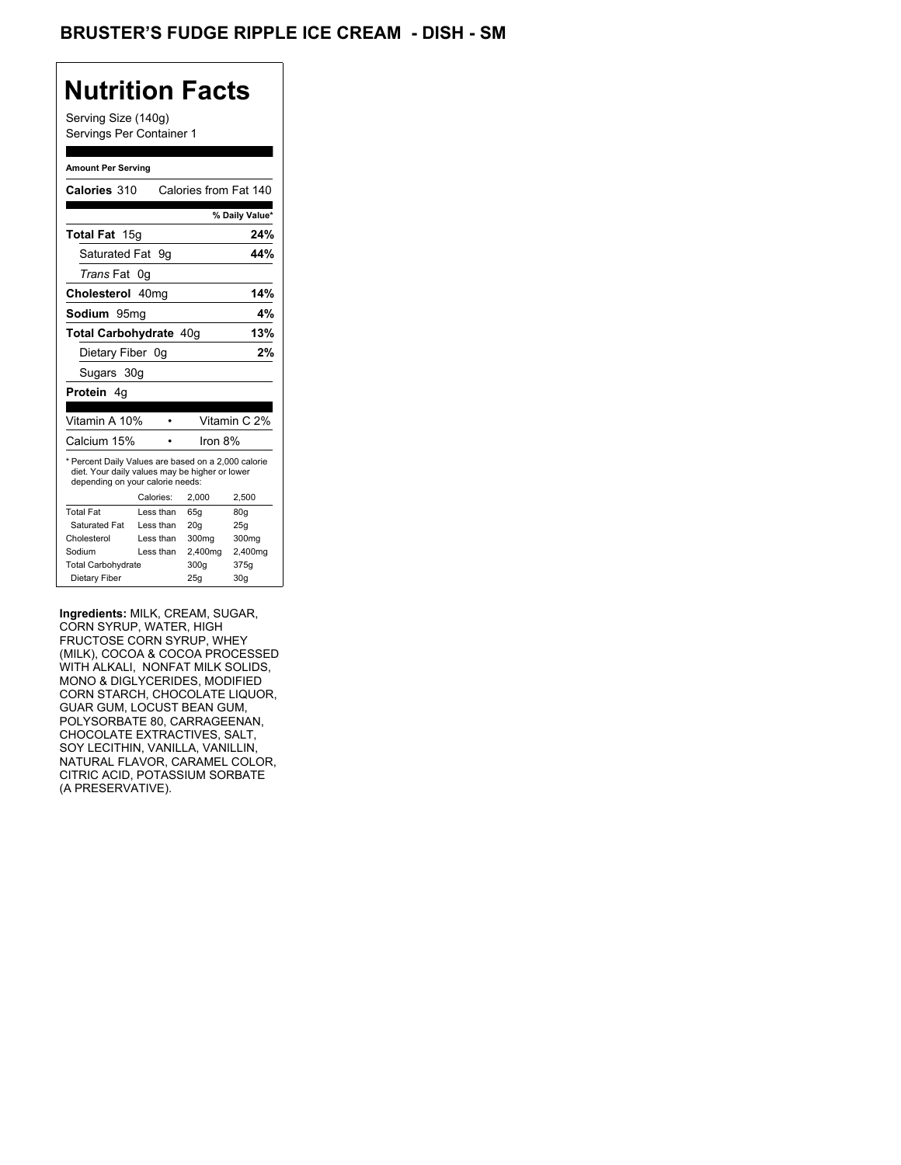## **Nutrition Facts**

Serving Size (140g) Servings Per Container 1

#### **Amount Per Serving**

| Calories 310                                                                                                                              |           | Calories from Fat 140 |                |
|-------------------------------------------------------------------------------------------------------------------------------------------|-----------|-----------------------|----------------|
|                                                                                                                                           |           |                       |                |
|                                                                                                                                           |           |                       | % Daily Value* |
| <b>Total Fat</b> 15g                                                                                                                      |           |                       | 24%            |
| Saturated Fat                                                                                                                             | 9g        |                       | 44%            |
| <i>Trans</i> Fat                                                                                                                          | 0g        |                       |                |
| Cholesterol 40mg                                                                                                                          |           |                       | 14%            |
| <b>Sodium</b> 95mg                                                                                                                        |           |                       | 4%             |
| Total Carbohydrate 40q                                                                                                                    |           |                       | 13%            |
| Dietary Fiber 0g                                                                                                                          |           |                       | 2%             |
| Sugars 30g                                                                                                                                |           |                       |                |
| <b>Protein</b> 4q                                                                                                                         |           |                       |                |
|                                                                                                                                           |           |                       |                |
|                                                                                                                                           |           |                       |                |
| Vitamin A 10%                                                                                                                             |           |                       | Vitamin C 2%   |
| Calcium 15%                                                                                                                               |           | Iron 8%               |                |
| * Percent Daily Values are based on a 2,000 calorie<br>diet. Your daily values may be higher or lower<br>depending on your calorie needs: |           |                       |                |
|                                                                                                                                           | Calories: | 2,000                 | 2.500          |
| <b>Total Fat</b>                                                                                                                          | Less than | 65q                   | 80q            |
| Saturated Fat                                                                                                                             | Less than | 20q                   | 25q            |
| Cholesterol                                                                                                                               | Less than | 300mg                 | 300mg          |
| Sodium                                                                                                                                    | Less than | 2,400mg               | 2,400mg        |
| <b>Total Carbohydrate</b>                                                                                                                 |           | 300g                  | 375g           |

**Ingredients:** MILK, CREAM, SUGAR, CORN SYRUP, WATER, HIGH FRUCTOSE CORN SYRUP, WHEY (MILK), COCOA & COCOA PROCESSED WITH ALKALI, NONFAT MILK SOLIDS, MONO & DIGLYCERIDES, MODIFIED CORN STARCH, CHOCOLATE LIQUOR, GUAR GUM, LOCUST BEAN GUM, POLYSORBATE 80, CARRAGEENAN, CHOCOLATE EXTRACTIVES, SALT, SOY LECITHIN, VANILLA, VANILLIN, NATURAL FLAVOR, CARAMEL COLOR, CITRIC ACID, POTASSIUM SORBATE (A PRESERVATIVE).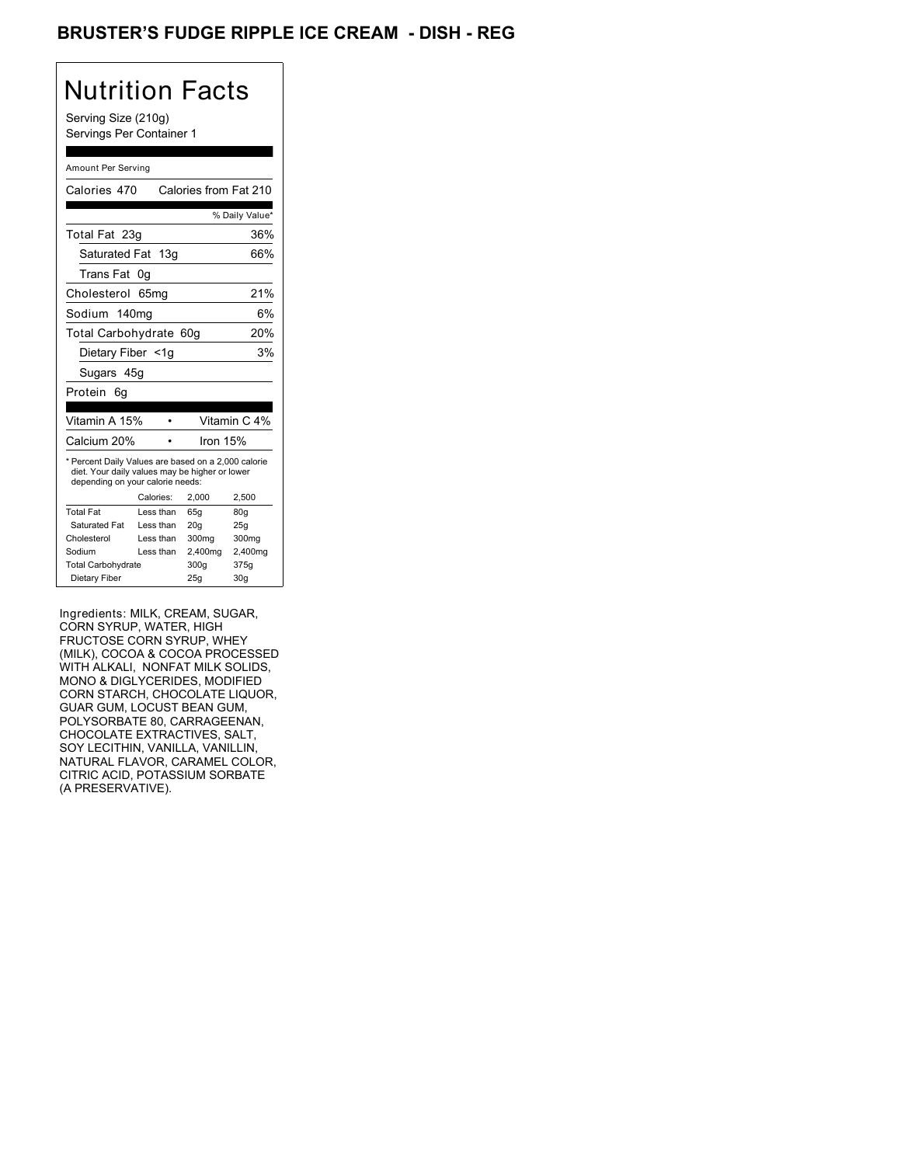## BRUSTER'S FUDGE RIPPLE ICE CREAM - DISH - REG

# Nutrition Facts

Serving Size (210g) Servings Per Container 1

#### Amount Per Serving

| Calories 470                                                                                                                              |           | Calories from Fat 210 |                |
|-------------------------------------------------------------------------------------------------------------------------------------------|-----------|-----------------------|----------------|
|                                                                                                                                           |           |                       | % Daily Value* |
| Total Fat 23g                                                                                                                             |           |                       | 36%            |
| Saturated Fat 13g                                                                                                                         |           |                       | 66%            |
| Trans Fat                                                                                                                                 | 0g        |                       |                |
| Cholesterol                                                                                                                               | 65mq      |                       | 21%            |
| Sodium 140mg                                                                                                                              |           |                       | 6%             |
| Total Carbohydrate 60g                                                                                                                    |           |                       | 20%            |
| Dietary Fiber <1q                                                                                                                         |           |                       | 3%             |
| Sugars 45g                                                                                                                                |           |                       |                |
| Protein<br>6q                                                                                                                             |           |                       |                |
|                                                                                                                                           |           |                       |                |
| Vitamin A 15%                                                                                                                             |           |                       | Vitamin C 4%   |
| Calcium 20%                                                                                                                               |           | Iron 15%              |                |
| * Percent Daily Values are based on a 2,000 calorie<br>diet. Your daily values may be higher or lower<br>depending on your calorie needs: |           |                       |                |
|                                                                                                                                           | Calories: | 2.000                 | 2,500          |
| <b>Total Fat</b>                                                                                                                          | Less than | 65q                   | 80q            |
| Saturated Fat                                                                                                                             | Less than | 20q                   | 25q            |
| Cholesterol                                                                                                                               | Less than | 300mg                 | 300mg          |
| Sodium                                                                                                                                    | Less than | 2,400mg               | 2,400mg        |
| <b>Total Carbohydrate</b>                                                                                                                 |           | 300g                  | 375g           |
| Dietary Fiber                                                                                                                             |           | 25q                   | 30q            |

Ingredients: MILK, CREAM, SUGAR, CORN SYRUP, WATER, HIGH FRUCTOSE CORN SYRUP, WHEY (MILK), COCOA & COCOA PROCESSED WITH ALKALI, NONFAT MILK SOLIDS, MONO & DIGLYCERIDES, MODIFIED CORN STARCH, CHOCOLATE LIQUOR, GUAR GUM, LOCUST BEAN GUM, POLYSORBATE 80, CARRAGEENAN, CHOCOLATE EXTRACTIVES, SALT, SOY LECITHIN, VANILLA, VANILLIN, NATURAL FLAVOR, CARAMEL COLOR, CITRIC ACID, POTASSIUM SORBATE (A PRESERVATIVE).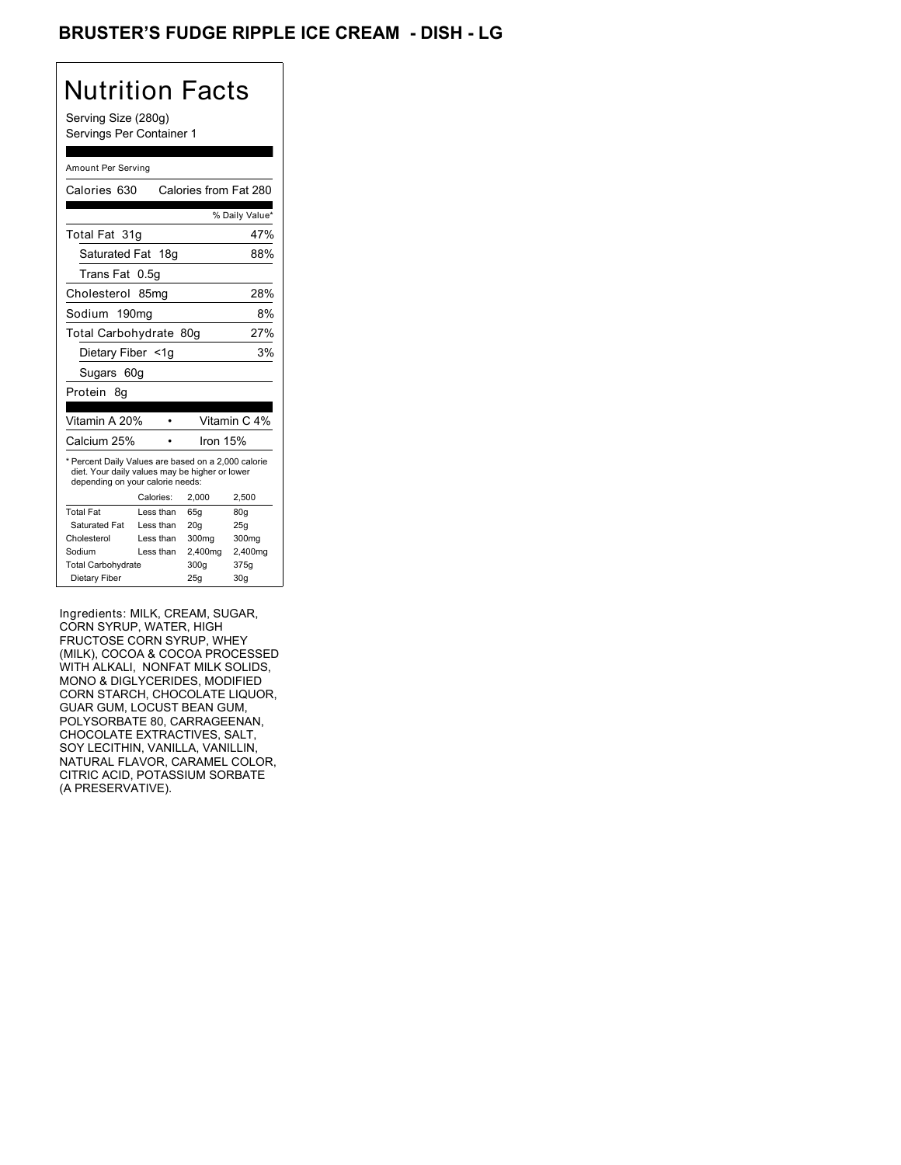## BRUSTER'S FUDGE RIPPLE ICE CREAM - DISH - LG

# Nutrition Facts

Serving Size (280g) Servings Per Container 1

#### Amount Per Serving

| Calories 630                                                                                                                              |            |                                                 |  |
|-------------------------------------------------------------------------------------------------------------------------------------------|------------|-------------------------------------------------|--|
|                                                                                                                                           |            | % Daily Value*                                  |  |
| Total Fat 31q                                                                                                                             |            | 47%                                             |  |
| Saturated Fat 18g                                                                                                                         |            | 88%                                             |  |
| Trans Fat<br>0.5g                                                                                                                         |            |                                                 |  |
| Cholesterol 85mg                                                                                                                          |            | 28%                                             |  |
| Sodium 190mg                                                                                                                              |            | 8%                                              |  |
|                                                                                                                                           |            | 27%                                             |  |
| Dietary Fiber <1g                                                                                                                         |            | 3%                                              |  |
| Sugars 60g                                                                                                                                |            |                                                 |  |
|                                                                                                                                           |            |                                                 |  |
|                                                                                                                                           |            |                                                 |  |
| Vitamin A 20%                                                                                                                             |            | Vitamin C 4%                                    |  |
|                                                                                                                                           | Iron $15%$ |                                                 |  |
| * Percent Daily Values are based on a 2,000 calorie<br>diet. Your daily values may be higher or lower<br>depending on your calorie needs: |            |                                                 |  |
|                                                                                                                                           |            |                                                 |  |
| Calories:                                                                                                                                 | 2,000      | 2,500                                           |  |
| Less than                                                                                                                                 | 65q        | 80q                                             |  |
| Less than                                                                                                                                 | 20q        | 25q                                             |  |
| Less than                                                                                                                                 | 300mg      | 300mg                                           |  |
| Less than                                                                                                                                 | 2,400mg    | 2,400mg                                         |  |
| <b>Total Carbohydrate</b>                                                                                                                 | 300q       | 375g                                            |  |
|                                                                                                                                           |            | Calories from Fat 280<br>Total Carbohydrate 80g |  |

Ingredients: MILK, CREAM, SUGAR, CORN SYRUP, WATER, HIGH FRUCTOSE CORN SYRUP, WHEY (MILK), COCOA & COCOA PROCESSED WITH ALKALI, NONFAT MILK SOLIDS, MONO & DIGLYCERIDES, MODIFIED CORN STARCH, CHOCOLATE LIQUOR, GUAR GUM, LOCUST BEAN GUM, POLYSORBATE 80, CARRAGEENAN, CHOCOLATE EXTRACTIVES, SALT, SOY LECITHIN, VANILLA, VANILLIN, NATURAL FLAVOR, CARAMEL COLOR, CITRIC ACID, POTASSIUM SORBATE (A PRESERVATIVE).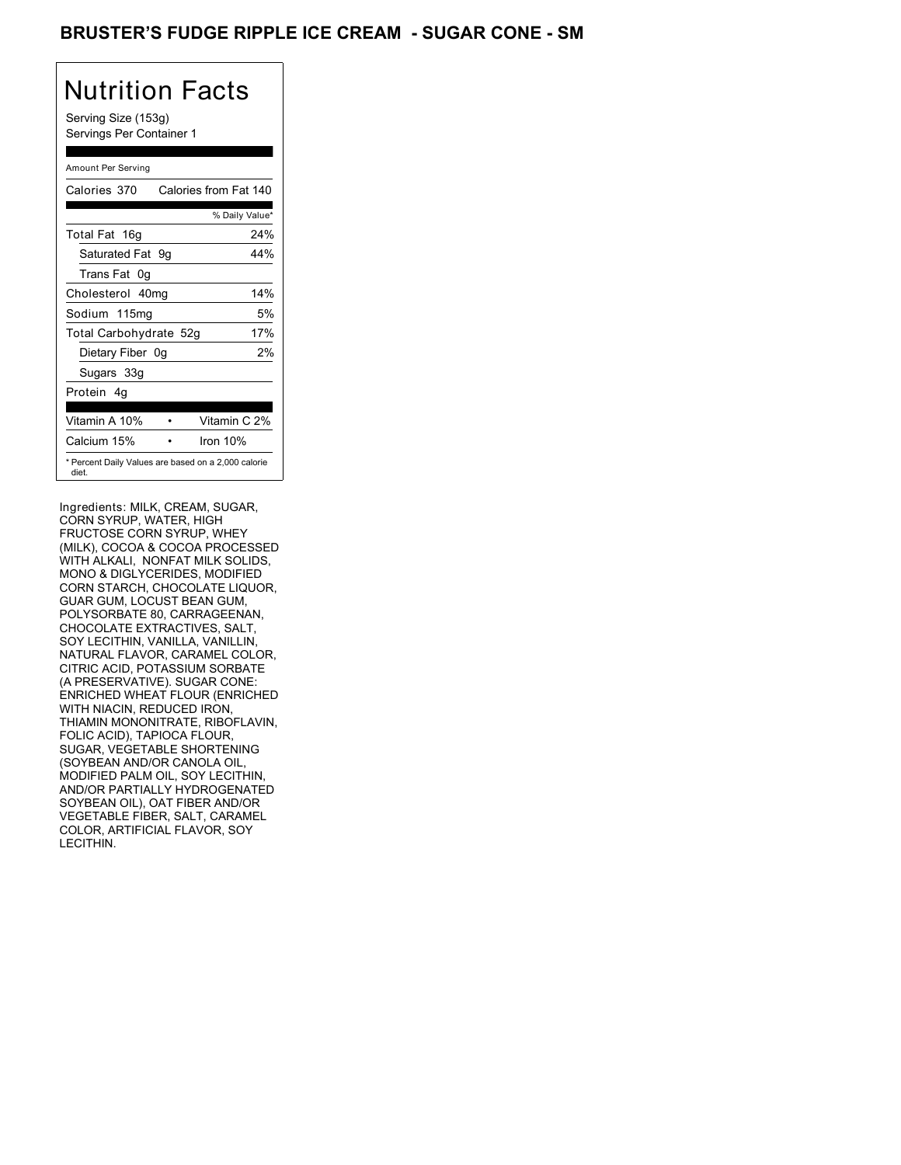### BRUSTER'S FUDGE RIPPLE ICE CREAM - SUGAR CONE - SM

## Nutrition Facts

Serving Size (153g) Servings Per Container 1

#### Amount Per Serving

| Calories 370                                                 | Calories from Fat 140 |     |
|--------------------------------------------------------------|-----------------------|-----|
|                                                              | % Daily Value*        |     |
| Total Fat 16g                                                |                       | 24% |
| Saturated Fat 9q                                             |                       | 44% |
| Trans Fat 0q                                                 |                       |     |
| Cholesterol 40mg                                             |                       | 14% |
| Sodium 115mg                                                 |                       | 5%  |
| Total Carbohydrate 52g                                       |                       | 17% |
| Dietary Fiber 0g                                             |                       | 2%  |
| Sugars 33g                                                   |                       |     |
| Protein 4q                                                   |                       |     |
| Vitamin A 10%                                                | Vitamin C 2%          |     |
| Calcium 15%                                                  | Iron $10%$            |     |
| * Percent Daily Values are based on a 2,000 calorie<br>diet. |                       |     |

Ingredients: MILK, CREAM, SUGAR, CORN SYRUP, WATER, HIGH FRUCTOSE CORN SYRUP, WHEY (MILK), COCOA & COCOA PROCESSED WITH ALKALI, NONFAT MILK SOLIDS, MONO & DIGLYCERIDES, MODIFIED CORN STARCH, CHOCOLATE LIQUOR, GUAR GUM, LOCUST BEAN GUM, POLYSORBATE 80, CARRAGEENAN, CHOCOLATE EXTRACTIVES, SALT, SOY LECITHIN, VANILLA, VANILLIN, NATURAL FLAVOR, CARAMEL COLOR, CITRIC ACID, POTASSIUM SORBATE (A PRESERVATIVE). SUGAR CONE: ENRICHED WHEAT FLOUR (ENRICHED WITH NIACIN, REDUCED IRON, THIAMIN MONONITRATE, RIBOFLAVIN, FOLIC ACID), TAPIOCA FLOUR, SUGAR, VEGETABLE SHORTENING (SOYBEAN AND/OR CANOLA OIL, MODIFIED PALM OIL, SOY LECITHIN, AND/OR PARTIALLY HYDROGENATED SOYBEAN OIL), OAT FIBER AND/OR VEGETABLE FIBER, SALT, CARAMEL COLOR, ARTIFICIAL FLAVOR, SOY LECITHIN.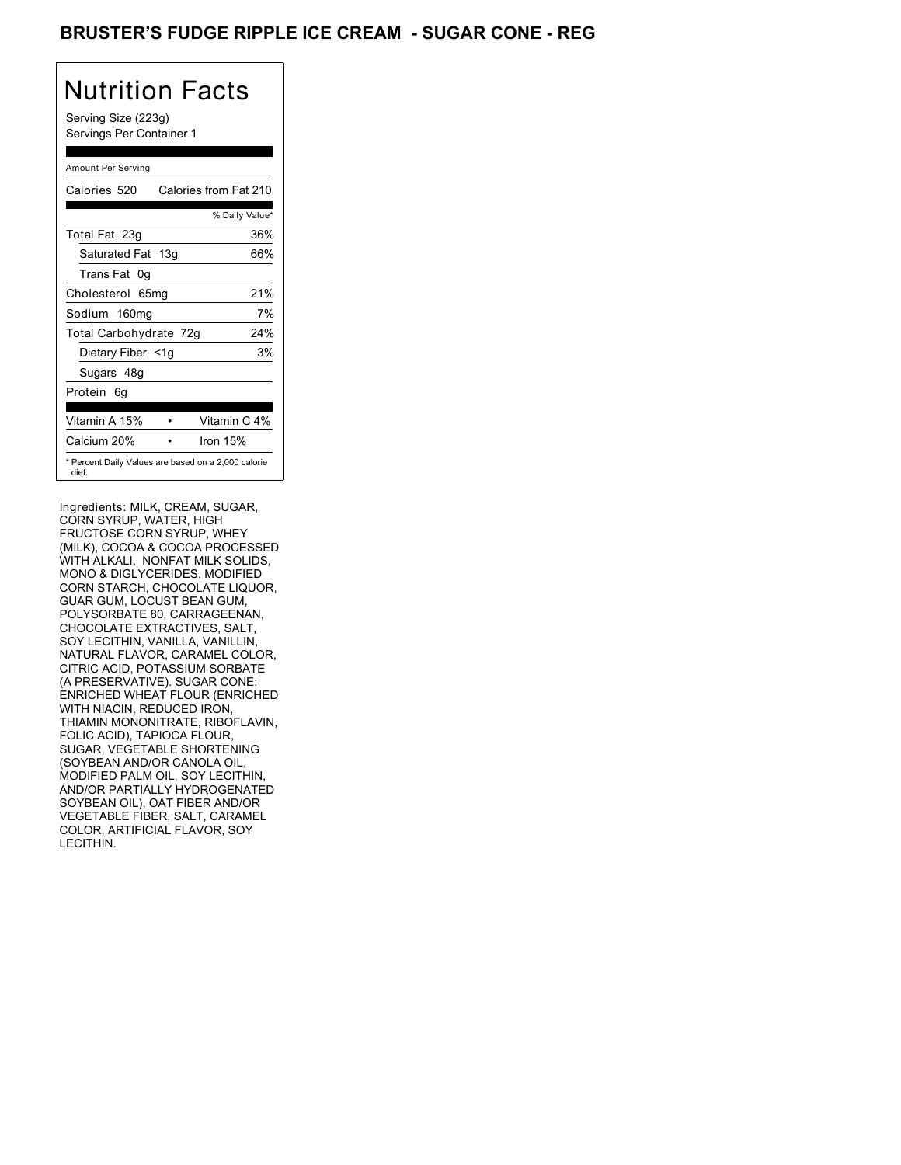### BRUSTER'S FUDGE RIPPLE ICE CREAM - SUGAR CONE - REG

# Nutrition Facts

Serving Size (223g) Servings Per Container 1

#### Amount Per Serving

| Calories 520           | Calories from Fat 210                               |
|------------------------|-----------------------------------------------------|
|                        | % Daily Value*                                      |
| Total Fat 23g          | 36%                                                 |
| Saturated Fat 13g      | 66%                                                 |
| Trans Fat 0q           |                                                     |
| Cholesterol 65mg       | 21%                                                 |
| Sodium 160mg           | 7%                                                  |
| Total Carbohydrate 72g | 24%                                                 |
| Dietary Fiber <1g      | 3%                                                  |
| Sugars 48g             |                                                     |
| Protein 6q             |                                                     |
| Vitamin A 15%          | Vitamin C 4%                                        |
| Calcium 20%            | Iron 15%                                            |
| diet.                  | * Percent Daily Values are based on a 2,000 calorie |

Ingredients: MILK, CREAM, SUGAR, CORN SYRUP, WATER, HIGH FRUCTOSE CORN SYRUP, WHEY (MILK), COCOA & COCOA PROCESSED WITH ALKALI, NONFAT MILK SOLIDS, MONO & DIGLYCERIDES, MODIFIED CORN STARCH, CHOCOLATE LIQUOR, GUAR GUM, LOCUST BEAN GUM, POLYSORBATE 80, CARRAGEENAN, CHOCOLATE EXTRACTIVES, SALT, SOY LECITHIN, VANILLA, VANILLIN, NATURAL FLAVOR, CARAMEL COLOR, CITRIC ACID, POTASSIUM SORBATE (A PRESERVATIVE). SUGAR CONE: ENRICHED WHEAT FLOUR (ENRICHED WITH NIACIN, REDUCED IRON, THIAMIN MONONITRATE, RIBOFLAVIN, FOLIC ACID), TAPIOCA FLOUR, SUGAR, VEGETABLE SHORTENING (SOYBEAN AND/OR CANOLA OIL, MODIFIED PALM OIL, SOY LECITHIN, AND/OR PARTIALLY HYDROGENATED SOYBEAN OIL), OAT FIBER AND/OR VEGETABLE FIBER, SALT, CARAMEL COLOR, ARTIFICIAL FLAVOR, SOY LECITHIN.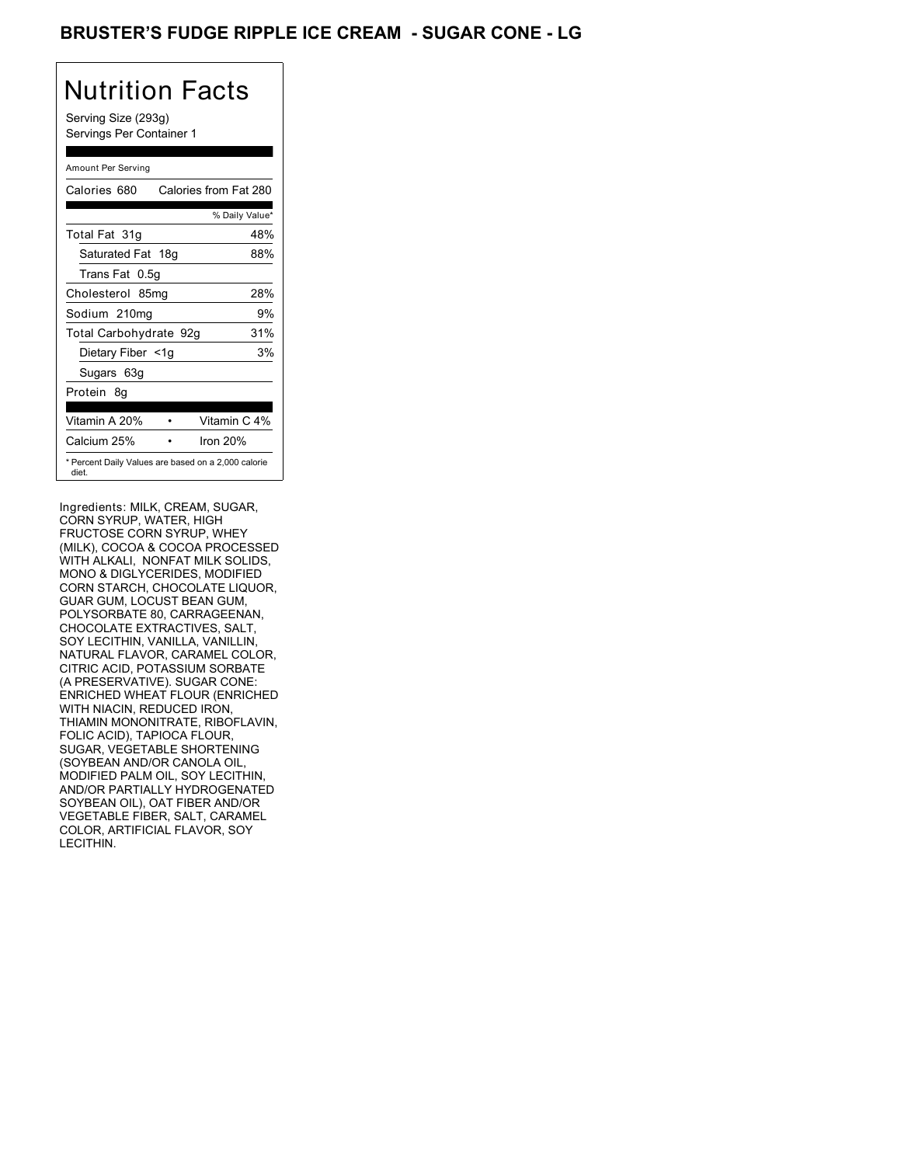### BRUSTER'S FUDGE RIPPLE ICE CREAM - SUGAR CONE - LG

## Nutrition Facts

Serving Size (293g) Servings Per Container 1

#### Amount Per Serving

| Calories 680           | Calories from Fat 280                               |
|------------------------|-----------------------------------------------------|
|                        | % Daily Value*                                      |
| Total Fat 31g          | 48%                                                 |
| Saturated Fat 18g      | 88%                                                 |
| Trans Fat 0.5q         |                                                     |
| Cholesterol 85mg       | 28%                                                 |
| Sodium 210mg           | 9%                                                  |
| Total Carbohydrate 92g | 31%                                                 |
| Dietary Fiber <1g      | 3%                                                  |
| Sugars 63g             |                                                     |
| Protein 8q             |                                                     |
| Vitamin A 20%          | Vitamin C 4%                                        |
| Calcium 25%            | Iron $20%$                                          |
| diet.                  | * Percent Daily Values are based on a 2,000 calorie |

Ingredients: MILK, CREAM, SUGAR, CORN SYRUP, WATER, HIGH FRUCTOSE CORN SYRUP, WHEY (MILK), COCOA & COCOA PROCESSED WITH ALKALI, NONFAT MILK SOLIDS, MONO & DIGLYCERIDES, MODIFIED CORN STARCH, CHOCOLATE LIQUOR, GUAR GUM, LOCUST BEAN GUM, POLYSORBATE 80, CARRAGEENAN, CHOCOLATE EXTRACTIVES, SALT, SOY LECITHIN, VANILLA, VANILLIN, NATURAL FLAVOR, CARAMEL COLOR, CITRIC ACID, POTASSIUM SORBATE (A PRESERVATIVE). SUGAR CONE: ENRICHED WHEAT FLOUR (ENRICHED WITH NIACIN, REDUCED IRON, THIAMIN MONONITRATE, RIBOFLAVIN, FOLIC ACID), TAPIOCA FLOUR, SUGAR, VEGETABLE SHORTENING (SOYBEAN AND/OR CANOLA OIL, MODIFIED PALM OIL, SOY LECITHIN, AND/OR PARTIALLY HYDROGENATED SOYBEAN OIL), OAT FIBER AND/OR VEGETABLE FIBER, SALT, CARAMEL COLOR, ARTIFICIAL FLAVOR, SOY LECITHIN.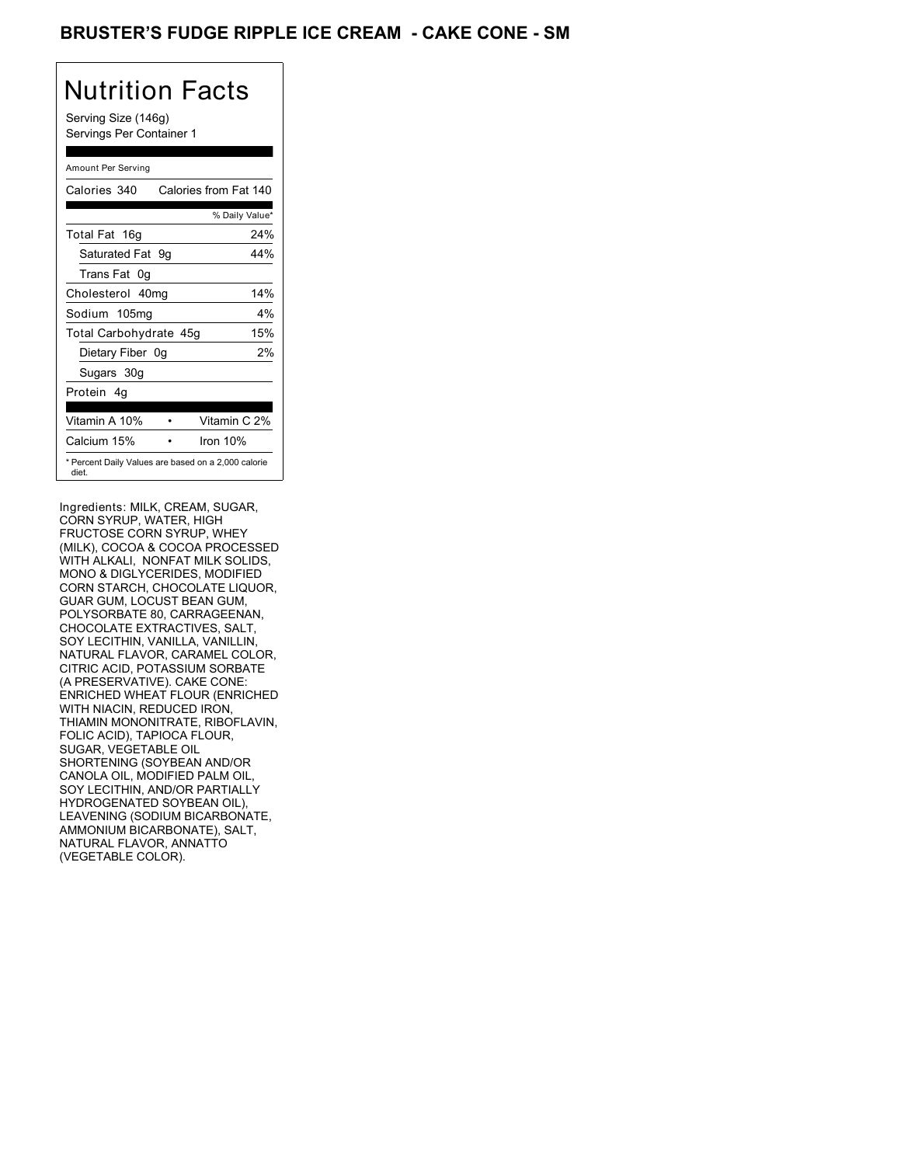### BRUSTER'S FUDGE RIPPLE ICE CREAM **- CAKE CONE - SM**

## Nutrition Facts

Serving Size (146g) Servings Per Container 1

#### Amount Per Serving

| Calories 340                                                 | Calories from Fat 140 |                |
|--------------------------------------------------------------|-----------------------|----------------|
|                                                              |                       | % Daily Value* |
| Total Fat 16g                                                |                       | 24%            |
| Saturated Fat 9g                                             |                       | 44%            |
| Trans Fat 0q                                                 |                       |                |
| Cholesterol 40mg                                             |                       | 14%            |
| Sodium 105mg                                                 |                       | $4\%$          |
| Total Carbohydrate 45g                                       |                       | 15%            |
| Dietary Fiber 0g                                             |                       | 2%             |
| Sugars 30g                                                   |                       |                |
| Protein 4q                                                   |                       |                |
| Vitamin A 10%                                                |                       | Vitamin C 2%   |
| Calcium 15%                                                  | Iron $10%$            |                |
| * Percent Daily Values are based on a 2,000 calorie<br>diet. |                       |                |

Ingredients: MILK, CREAM, SUGAR, CORN SYRUP, WATER, HIGH FRUCTOSE CORN SYRUP, WHEY (MILK), COCOA & COCOA PROCESSED WITH ALKALI, NONFAT MILK SOLIDS, MONO & DIGLYCERIDES, MODIFIED CORN STARCH, CHOCOLATE LIQUOR, GUAR GUM, LOCUST BEAN GUM, POLYSORBATE 80, CARRAGEENAN, CHOCOLATE EXTRACTIVES, SALT, SOY LECITHIN, VANILLA, VANILLIN, NATURAL FLAVOR, CARAMEL COLOR, CITRIC ACID, POTASSIUM SORBATE (A PRESERVATIVE). CAKE CONE: ENRICHED WHEAT FLOUR (ENRICHED WITH NIACIN, REDUCED IRON, THIAMIN MONONITRATE, RIBOFLAVIN, FOLIC ACID), TAPIOCA FLOUR, SUGAR, VEGETABLE OIL SHORTENING (SOYBEAN AND/OR CANOLA OIL, MODIFIED PALM OIL, SOY LECITHIN, AND/OR PARTIALLY HYDROGENATED SOYBEAN OIL), LEAVENING (SODIUM BICARBONATE, AMMONIUM BICARBONATE), SALT, NATURAL FLAVOR, ANNATTO (VEGETABLE COLOR).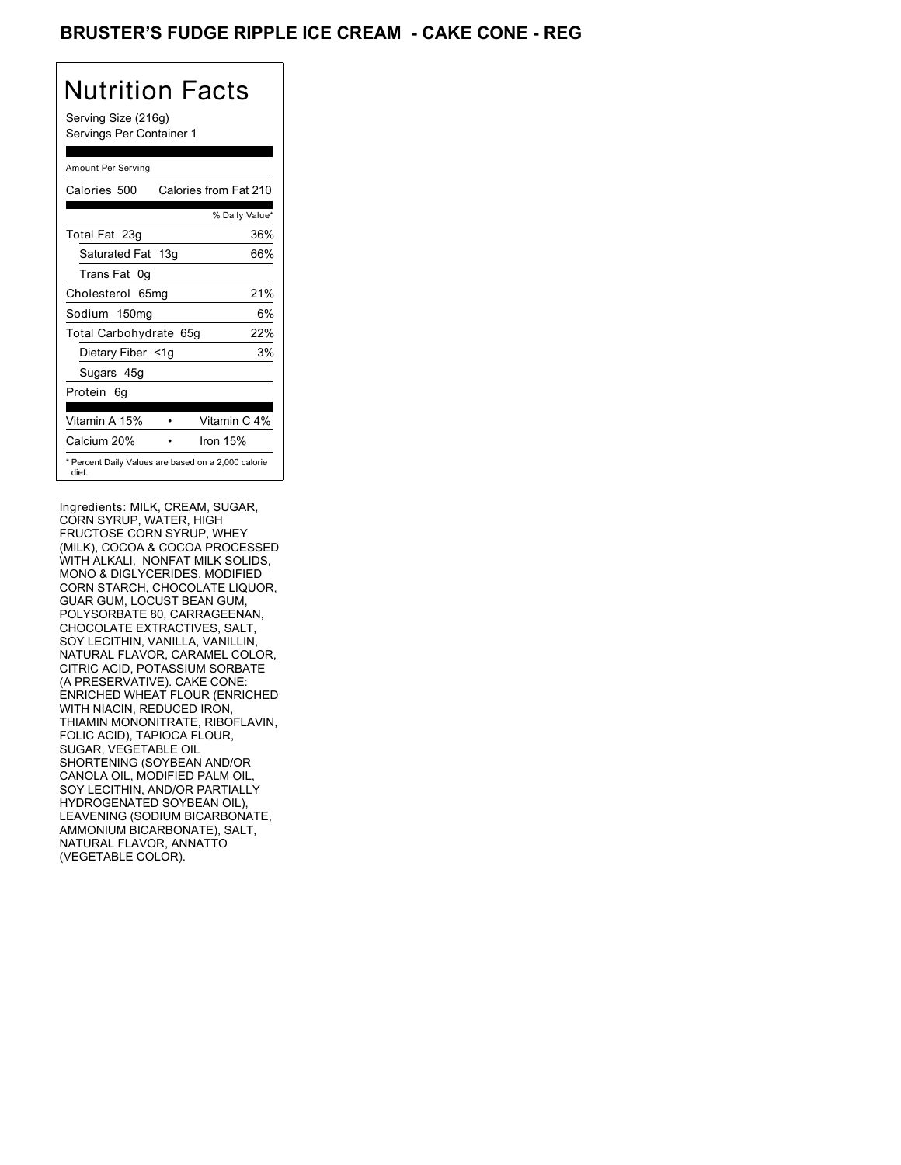### BRUSTER'S FUDGE RIPPLE ICE CREAM **- CAKE CONE - REG**

## Nutrition Facts

Serving Size (216g) Servings Per Container 1

#### Amount Per Serving

| Calories 500                                                 | Calories from Fat 210 |
|--------------------------------------------------------------|-----------------------|
|                                                              | % Daily Value*        |
| Total Fat 23g                                                | 36%                   |
| Saturated Fat 13g                                            | 66%                   |
| Trans Fat 0q                                                 |                       |
| Cholesterol 65mg                                             | 21%                   |
| Sodium 150mg                                                 | 6%                    |
| Total Carbohydrate 65g                                       | 22%                   |
| Dietary Fiber <1g                                            | 3%                    |
| Sugars 45g                                                   |                       |
| Protein 6q                                                   |                       |
| Vitamin A 15%                                                | Vitamin C 4%          |
| Calcium 20%                                                  | Iron $15%$            |
| * Percent Daily Values are based on a 2,000 calorie<br>diet. |                       |

Ingredients: MILK, CREAM, SUGAR, CORN SYRUP, WATER, HIGH FRUCTOSE CORN SYRUP, WHEY (MILK), COCOA & COCOA PROCESSED WITH ALKALI, NONFAT MILK SOLIDS, MONO & DIGLYCERIDES, MODIFIED CORN STARCH, CHOCOLATE LIQUOR, GUAR GUM, LOCUST BEAN GUM, POLYSORBATE 80, CARRAGEENAN, CHOCOLATE EXTRACTIVES, SALT, SOY LECITHIN, VANILLA, VANILLIN, NATURAL FLAVOR, CARAMEL COLOR, CITRIC ACID, POTASSIUM SORBATE (A PRESERVATIVE). CAKE CONE: ENRICHED WHEAT FLOUR (ENRICHED WITH NIACIN, REDUCED IRON, THIAMIN MONONITRATE, RIBOFLAVIN, FOLIC ACID), TAPIOCA FLOUR, SUGAR, VEGETABLE OIL SHORTENING (SOYBEAN AND/OR CANOLA OIL, MODIFIED PALM OIL, SOY LECITHIN, AND/OR PARTIALLY HYDROGENATED SOYBEAN OIL), LEAVENING (SODIUM BICARBONATE, AMMONIUM BICARBONATE), SALT, NATURAL FLAVOR, ANNATTO (VEGETABLE COLOR).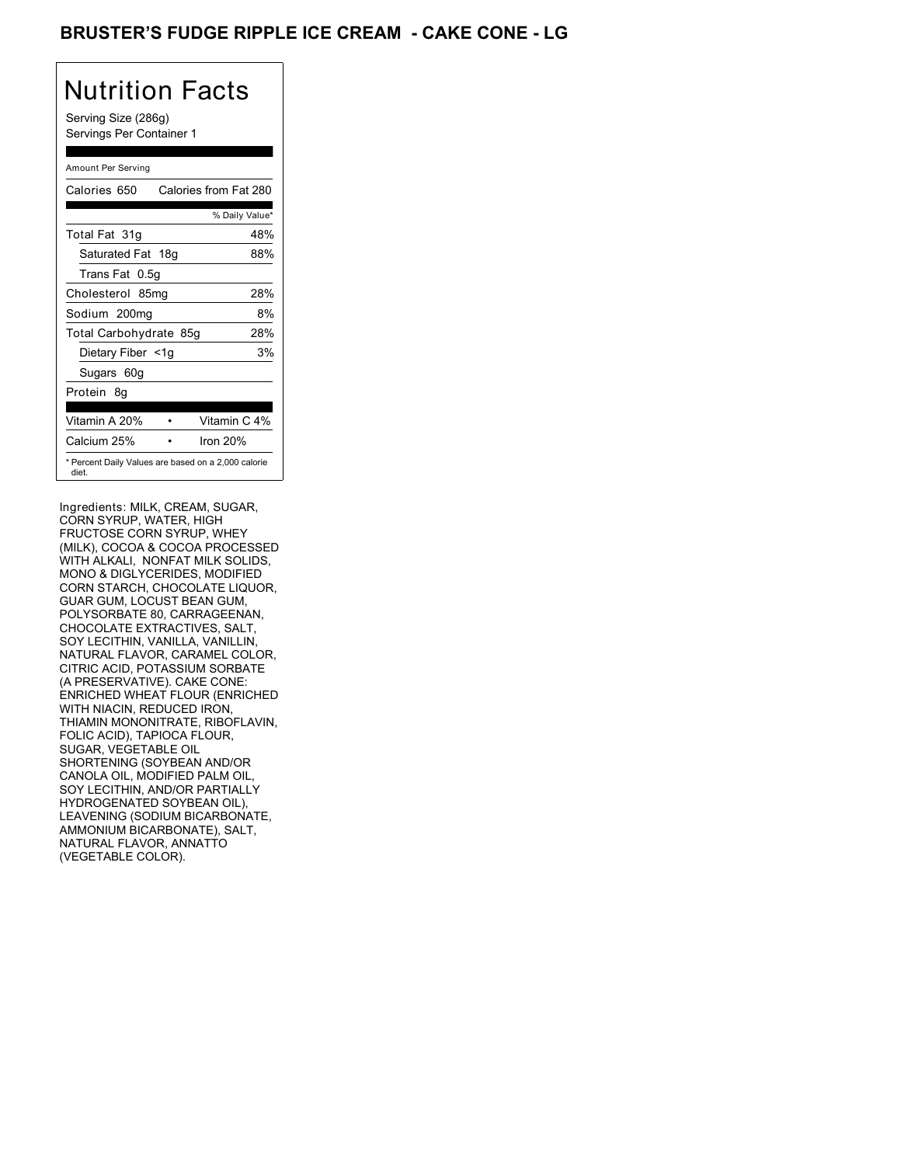## BRUSTER'S FUDGE RIPPLE ICE CREAM **- CAKE CONE - LG**

# Nutrition Facts

Serving Size (286g) Servings Per Container 1

#### Amount Per Serving

| Calories 650                                                 | Calories from Fat 280 |                |
|--------------------------------------------------------------|-----------------------|----------------|
|                                                              |                       | % Daily Value* |
| Total Fat 31g                                                |                       | 48%            |
| Saturated Fat 18g                                            |                       | 88%            |
| Trans Fat 0.5q                                               |                       |                |
| Cholesterol 85mg                                             |                       | 28%            |
| Sodium 200mg                                                 |                       | 8%             |
| Total Carbohydrate 85g                                       |                       | 28%            |
| Dietary Fiber <1g                                            |                       | 3%             |
| Sugars 60g                                                   |                       |                |
| Protein 8q                                                   |                       |                |
| Vitamin A 20%                                                |                       | Vitamin C 4%   |
| Calcium 25%                                                  | Iron $20%$            |                |
| * Percent Daily Values are based on a 2,000 calorie<br>diet. |                       |                |

Ingredients: MILK, CREAM, SUGAR, CORN SYRUP, WATER, HIGH FRUCTOSE CORN SYRUP, WHEY (MILK), COCOA & COCOA PROCESSED WITH ALKALI, NONFAT MILK SOLIDS, MONO & DIGLYCERIDES, MODIFIED CORN STARCH, CHOCOLATE LIQUOR, GUAR GUM, LOCUST BEAN GUM, POLYSORBATE 80, CARRAGEENAN, CHOCOLATE EXTRACTIVES, SALT, SOY LECITHIN, VANILLA, VANILLIN, NATURAL FLAVOR, CARAMEL COLOR, CITRIC ACID, POTASSIUM SORBATE (A PRESERVATIVE). CAKE CONE: ENRICHED WHEAT FLOUR (ENRICHED WITH NIACIN, REDUCED IRON, THIAMIN MONONITRATE, RIBOFLAVIN, FOLIC ACID), TAPIOCA FLOUR, SUGAR, VEGETABLE OIL SHORTENING (SOYBEAN AND/OR CANOLA OIL, MODIFIED PALM OIL, SOY LECITHIN, AND/OR PARTIALLY HYDROGENATED SOYBEAN OIL), LEAVENING (SODIUM BICARBONATE, AMMONIUM BICARBONATE), SALT, NATURAL FLAVOR, ANNATTO (VEGETABLE COLOR).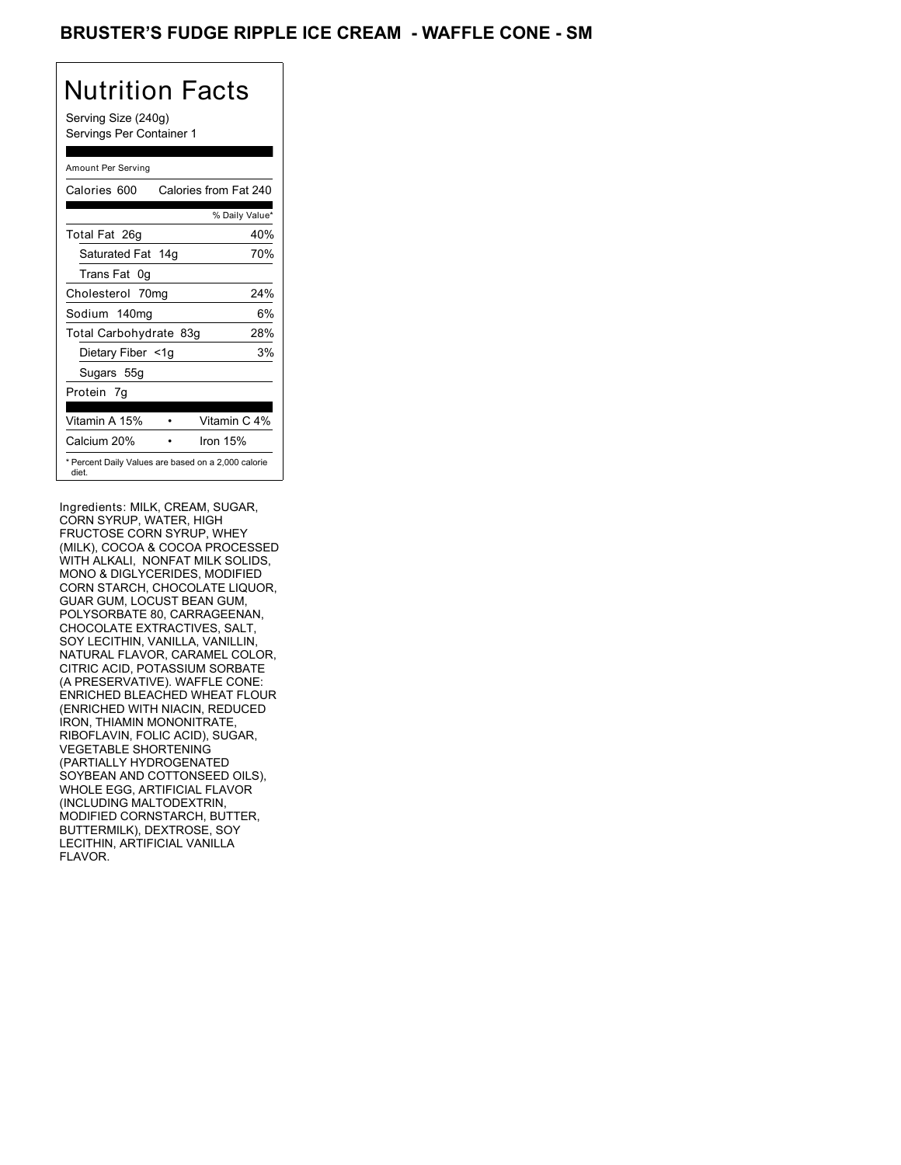### BRUSTER'S FUDGE RIPPLE ICE CREAM - WAFFLE CONE - SM

## Nutrition Facts

Serving Size (240g) Servings Per Container 1

#### Amount Per Serving

| Calories 600           | Calories from Fat 240                               |
|------------------------|-----------------------------------------------------|
|                        | % Daily Value*                                      |
| Total Fat 26g          | 40%                                                 |
| Saturated Fat 14g      | 70%                                                 |
| Trans Fat 0q           |                                                     |
| Cholesterol 70mg       | 24%                                                 |
| Sodium 140mg           | 6%                                                  |
| Total Carbohydrate 83g | 28%                                                 |
| Dietary Fiber <1g      | 3%                                                  |
| Sugars 55g             |                                                     |
| Protein 7q             |                                                     |
| Vitamin A 15%          | Vitamin C 4%                                        |
| Calcium 20%            | Iron $15%$                                          |
| diet.                  | * Percent Daily Values are based on a 2,000 calorie |

Ingredients: MILK, CREAM, SUGAR, CORN SYRUP, WATER, HIGH FRUCTOSE CORN SYRUP, WHEY (MILK), COCOA & COCOA PROCESSED WITH ALKALI, NONFAT MILK SOLIDS, MONO & DIGLYCERIDES, MODIFIED CORN STARCH, CHOCOLATE LIQUOR, GUAR GUM, LOCUST BEAN GUM, POLYSORBATE 80, CARRAGEENAN, CHOCOLATE EXTRACTIVES, SALT, SOY LECITHIN, VANILLA, VANILLIN, NATURAL FLAVOR, CARAMEL COLOR, CITRIC ACID, POTASSIUM SORBATE (A PRESERVATIVE). WAFFLE CONE: ENRICHED BLEACHED WHEAT FLOUR (ENRICHED WITH NIACIN, REDUCED IRON, THIAMIN MONONITRATE, RIBOFLAVIN, FOLIC ACID), SUGAR, VEGETABLE SHORTENING (PARTIALLY HYDROGENATED SOYBEAN AND COTTONSEED OILS), WHOLE EGG, ARTIFICIAL FLAVOR (INCLUDING MALTODEXTRIN, MODIFIED CORNSTARCH, BUTTER, BUTTERMILK), DEXTROSE, SOY LECITHIN, ARTIFICIAL VANILLA FLAVOR.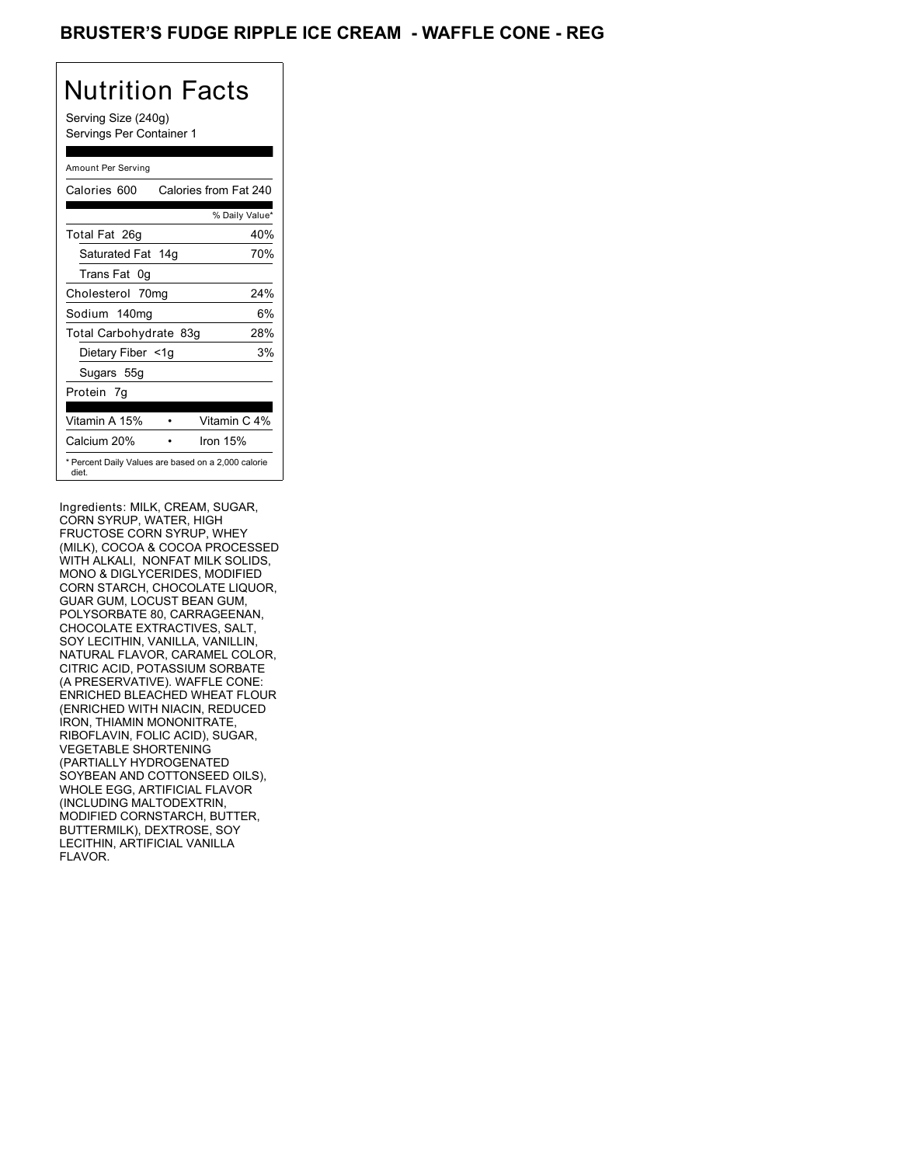### BRUSTER'S FUDGE RIPPLE ICE CREAM - WAFFLE CONE - REG

## Nutrition Facts

Serving Size (240g) Servings Per Container 1

#### Amount Per Serving

| Calories 600           | Calories from Fat 240                               |
|------------------------|-----------------------------------------------------|
|                        | % Daily Value*                                      |
| Total Fat 26g          | 40%                                                 |
| Saturated Fat 14g      | 70%                                                 |
| Trans Fat 0q           |                                                     |
| Cholesterol 70mg       | 24%                                                 |
| Sodium 140mg           | 6%                                                  |
| Total Carbohydrate 83g | 28%                                                 |
| Dietary Fiber <1g      | 3%                                                  |
| Sugars 55g             |                                                     |
| Protein 7q             |                                                     |
| Vitamin A 15%          | Vitamin C 4%                                        |
| Calcium 20%            | Iron $15%$                                          |
| diet.                  | * Percent Daily Values are based on a 2,000 calorie |

Ingredients: MILK, CREAM, SUGAR, CORN SYRUP, WATER, HIGH FRUCTOSE CORN SYRUP, WHEY (MILK), COCOA & COCOA PROCESSED WITH ALKALI, NONFAT MILK SOLIDS, MONO & DIGLYCERIDES, MODIFIED CORN STARCH, CHOCOLATE LIQUOR, GUAR GUM, LOCUST BEAN GUM, POLYSORBATE 80, CARRAGEENAN, CHOCOLATE EXTRACTIVES, SALT, SOY LECITHIN, VANILLA, VANILLIN, NATURAL FLAVOR, CARAMEL COLOR, CITRIC ACID, POTASSIUM SORBATE (A PRESERVATIVE). WAFFLE CONE: ENRICHED BLEACHED WHEAT FLOUR (ENRICHED WITH NIACIN, REDUCED IRON, THIAMIN MONONITRATE, RIBOFLAVIN, FOLIC ACID), SUGAR, VEGETABLE SHORTENING (PARTIALLY HYDROGENATED SOYBEAN AND COTTONSEED OILS), WHOLE EGG, ARTIFICIAL FLAVOR (INCLUDING MALTODEXTRIN, MODIFIED CORNSTARCH, BUTTER, BUTTERMILK), DEXTROSE, SOY LECITHIN, ARTIFICIAL VANILLA FLAVOR.